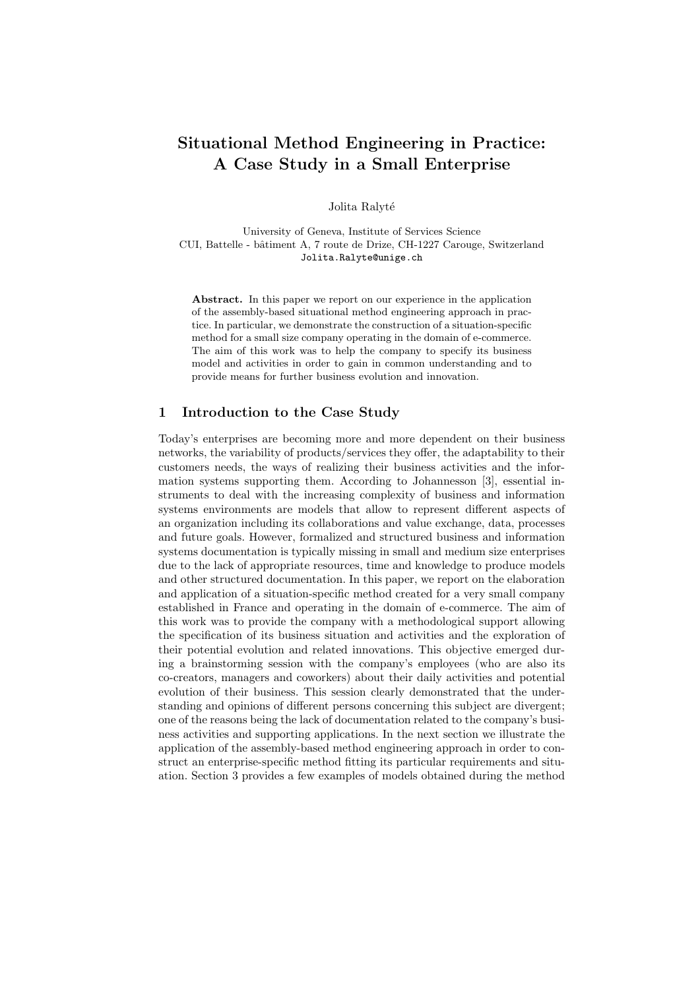# Situational Method Engineering in Practice: A Case Study in a Small Enterprise

Jolita Ralyté

University of Geneva, Institute of Services Science CUI, Battelle - bâtiment A, 7 route de Drize, CH-1227 Carouge, Switzerland Jolita.Ralyte@unige.ch

Abstract. In this paper we report on our experience in the application of the assembly-based situational method engineering approach in practice. In particular, we demonstrate the construction of a situation-specific method for a small size company operating in the domain of e-commerce. The aim of this work was to help the company to specify its business model and activities in order to gain in common understanding and to provide means for further business evolution and innovation.

## 1 Introduction to the Case Study

Today's enterprises are becoming more and more dependent on their business networks, the variability of products/services they offer, the adaptability to their customers needs, the ways of realizing their business activities and the information systems supporting them. According to Johannesson [3], essential instruments to deal with the increasing complexity of business and information systems environments are models that allow to represent different aspects of an organization including its collaborations and value exchange, data, processes and future goals. However, formalized and structured business and information systems documentation is typically missing in small and medium size enterprises due to the lack of appropriate resources, time and knowledge to produce models and other structured documentation. In this paper, we report on the elaboration and application of a situation-specific method created for a very small company established in France and operating in the domain of e-commerce. The aim of this work was to provide the company with a methodological support allowing the specification of its business situation and activities and the exploration of their potential evolution and related innovations. This objective emerged during a brainstorming session with the company's employees (who are also its co-creators, managers and coworkers) about their daily activities and potential evolution of their business. This session clearly demonstrated that the understanding and opinions of different persons concerning this subject are divergent; one of the reasons being the lack of documentation related to the company's business activities and supporting applications. In the next section we illustrate the application of the assembly-based method engineering approach in order to construct an enterprise-specific method fitting its particular requirements and situation. Section 3 provides a few examples of models obtained during the method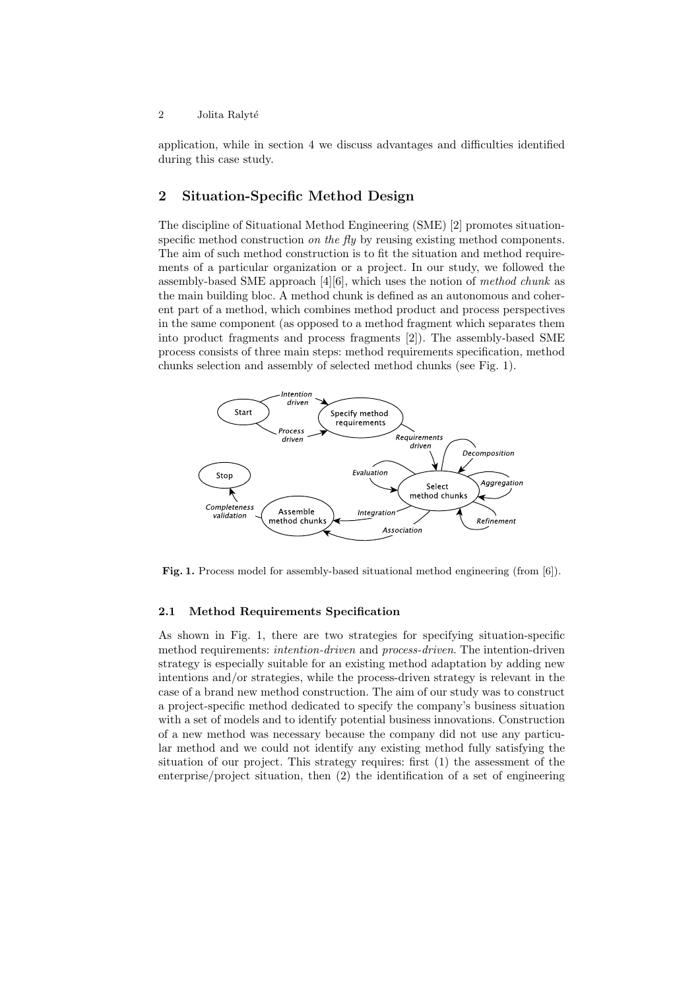application, while in section 4 we discuss advantages and difficulties identified during this case study.

## 2 Situation-Specific Method Design

The discipline of Situational Method Engineering (SME) [2] promotes situationspecific method construction *on the fly* by reusing existing method components. The aim of such method construction is to fit the situation and method requirements of a particular organization or a project. In our study, we followed the assembly-based SME approach  $[4][6]$ , which uses the notion of method chunk as the main building bloc. A method chunk is defined as an autonomous and coherent part of a method, which combines method product and process perspectives in the same component (as opposed to a method fragment which separates them into product fragments and process fragments [2]). The assembly-based SME process consists of three main steps: method requirements specification, method chunks selection and assembly of selected method chunks (see Fig. 1).



Fig. 1. Process model for assembly-based situational method engineering (from [6]).

#### 2.1 Method Requirements Specification

As shown in Fig. 1, there are two strategies for specifying situation-specific method requirements: *intention-driven* and *process-driven*. The intention-driven strategy is especially suitable for an existing method adaptation by adding new intentions and/or strategies, while the process-driven strategy is relevant in the case of a brand new method construction. The aim of our study was to construct a project-specific method dedicated to specify the company's business situation with a set of models and to identify potential business innovations. Construction of a new method was necessary because the company did not use any particular method and we could not identify any existing method fully satisfying the situation of our project. This strategy requires: first (1) the assessment of the enterprise/project situation, then (2) the identification of a set of engineering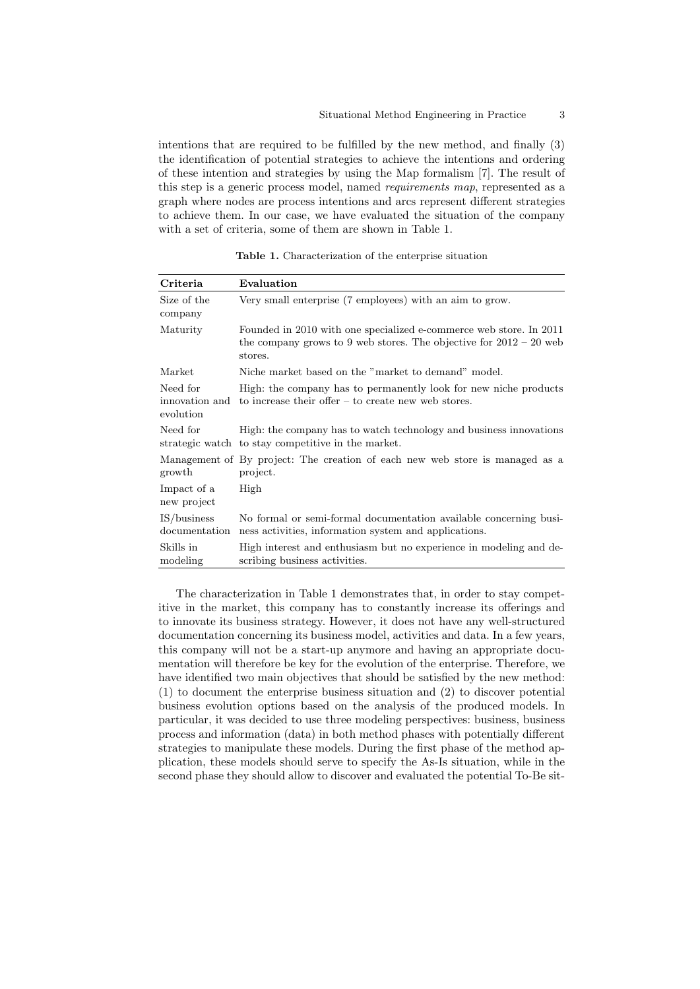intentions that are required to be fulfilled by the new method, and finally (3) the identification of potential strategies to achieve the intentions and ordering of these intention and strategies by using the Map formalism [7]. The result of this step is a generic process model, named requirements map, represented as a graph where nodes are process intentions and arcs represent different strategies to achieve them. In our case, we have evaluated the situation of the company with a set of criteria, some of them are shown in Table 1.

Table 1. Characterization of the enterprise situation

| Criteria                     | Evaluation                                                                                                                                            |
|------------------------------|-------------------------------------------------------------------------------------------------------------------------------------------------------|
| Size of the<br>company       | Very small enterprise (7 employees) with an aim to grow.                                                                                              |
| Maturity                     | Founded in 2010 with one specialized e-commerce web store. In 2011<br>the company grows to 9 web stores. The objective for $2012 - 20$ web<br>stores. |
| Market                       | Niche market based on the "market to demand" model.                                                                                                   |
| Need for<br>evolution        | High: the company has to permanently look for new niche products<br>innovation and to increase their offer $-$ to create new web stores.              |
| Need for                     | High: the company has to watch technology and business innovations<br>strategic watch to stay competitive in the market.                              |
| growth                       | Management of By project: The creation of each new web store is managed as a<br>project.                                                              |
| Impact of a<br>new project   | High                                                                                                                                                  |
| IS/business<br>documentation | No formal or semi-formal documentation available concerning busi-<br>ness activities, information system and applications.                            |
| Skills in<br>modeling        | High interest and enthusiasm but no experience in modeling and de-<br>scribing business activities.                                                   |

The characterization in Table 1 demonstrates that, in order to stay competitive in the market, this company has to constantly increase its offerings and to innovate its business strategy. However, it does not have any well-structured documentation concerning its business model, activities and data. In a few years, this company will not be a start-up anymore and having an appropriate documentation will therefore be key for the evolution of the enterprise. Therefore, we have identified two main objectives that should be satisfied by the new method: (1) to document the enterprise business situation and (2) to discover potential business evolution options based on the analysis of the produced models. In particular, it was decided to use three modeling perspectives: business, business process and information (data) in both method phases with potentially different strategies to manipulate these models. During the first phase of the method application, these models should serve to specify the As-Is situation, while in the second phase they should allow to discover and evaluated the potential To-Be sit-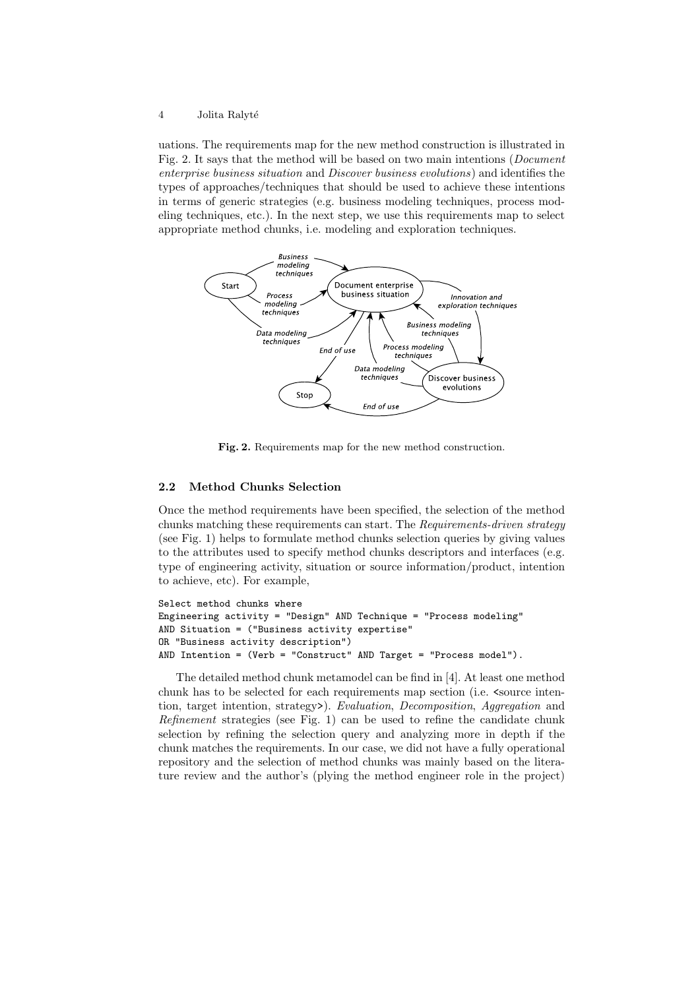uations. The requirements map for the new method construction is illustrated in Fig. 2. It says that the method will be based on two main intentions (Document enterprise business situation and Discover business evolutions) and identifies the types of approaches/techniques that should be used to achieve these intentions in terms of generic strategies (e.g. business modeling techniques, process modeling techniques, etc.). In the next step, we use this requirements map to select appropriate method chunks, i.e. modeling and exploration techniques.



Fig. 2. Requirements map for the new method construction.

## 2.2 Method Chunks Selection

Once the method requirements have been specified, the selection of the method chunks matching these requirements can start. The Requirements-driven strategy (see Fig. 1) helps to formulate method chunks selection queries by giving values to the attributes used to specify method chunks descriptors and interfaces (e.g. type of engineering activity, situation or source information/product, intention to achieve, etc). For example,

```
Select method chunks where
Engineering activity = "Design" AND Technique = "Process modeling"
AND Situation = ("Business activity expertise"
OR "Business activity description")
AND Intention = (Verb = "Construct" AND Target = "Process model").
```
The detailed method chunk metamodel can be find in [4]. At least one method chunk has to be selected for each requirements map section (i.e.  $\zeta$  source intention, target intention, strategy>). Evaluation, Decomposition, Aggregation and Refinement strategies (see Fig. 1) can be used to refine the candidate chunk selection by refining the selection query and analyzing more in depth if the chunk matches the requirements. In our case, we did not have a fully operational repository and the selection of method chunks was mainly based on the literature review and the author's (plying the method engineer role in the project)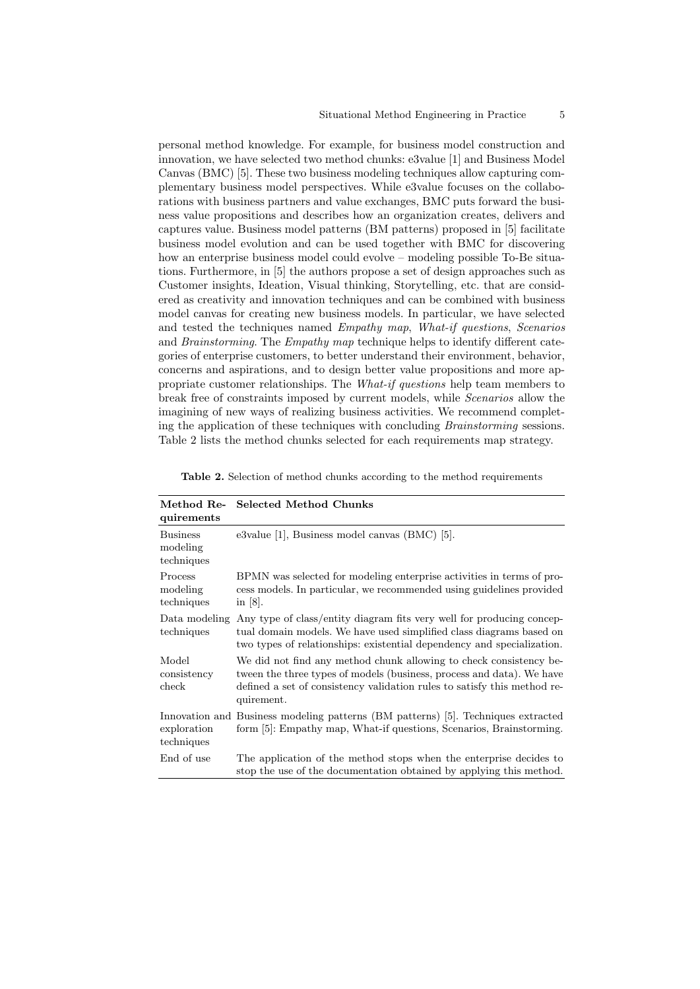personal method knowledge. For example, for business model construction and innovation, we have selected two method chunks: e3value [1] and Business Model Canvas (BMC) [5]. These two business modeling techniques allow capturing complementary business model perspectives. While e3value focuses on the collaborations with business partners and value exchanges, BMC puts forward the business value propositions and describes how an organization creates, delivers and captures value. Business model patterns (BM patterns) proposed in [5] facilitate business model evolution and can be used together with BMC for discovering how an enterprise business model could evolve – modeling possible To-Be situations. Furthermore, in [5] the authors propose a set of design approaches such as Customer insights, Ideation, Visual thinking, Storytelling, etc. that are considered as creativity and innovation techniques and can be combined with business model canvas for creating new business models. In particular, we have selected and tested the techniques named Empathy map, What-if questions, Scenarios and Brainstorming. The Empathy map technique helps to identify different categories of enterprise customers, to better understand their environment, behavior, concerns and aspirations, and to design better value propositions and more appropriate customer relationships. The What-if questions help team members to break free of constraints imposed by current models, while Scenarios allow the imagining of new ways of realizing business activities. We recommend completing the application of these techniques with concluding Brainstorming sessions. Table 2 lists the method chunks selected for each requirements map strategy.

| Method Re-<br>quirements                  | <b>Selected Method Chunks</b>                                                                                                                                                                                                         |
|-------------------------------------------|---------------------------------------------------------------------------------------------------------------------------------------------------------------------------------------------------------------------------------------|
| <b>Business</b><br>modeling<br>techniques | e3value $[1]$ , Business model canvas $(BMC)$ $[5]$ .                                                                                                                                                                                 |
| Process<br>modeling<br>techniques         | BPMN was selected for modeling enterprise activities in terms of pro-<br>cess models. In particular, we recommended using guidelines provided<br>in $ 8 $ .                                                                           |
| Data modeling<br>techniques               | Any type of class/entity diagram fits very well for producing concep-<br>tual domain models. We have used simplified class diagrams based on<br>two types of relationships: existential dependency and specialization.                |
| Model<br>consistency<br>check             | We did not find any method chunk allowing to check consistency be-<br>tween the three types of models (business, process and data). We have<br>defined a set of consistency validation rules to satisfy this method re-<br>quirement. |
| exploration<br>techniques                 | Innovation and Business modeling patterns (BM patterns) [5]. Techniques extracted<br>form [5]: Empathy map, What-if questions, Scenarios, Brainstorming.                                                                              |
| End of use                                | The application of the method stops when the enterprise decides to<br>stop the use of the documentation obtained by applying this method.                                                                                             |

Table 2. Selection of method chunks according to the method requirements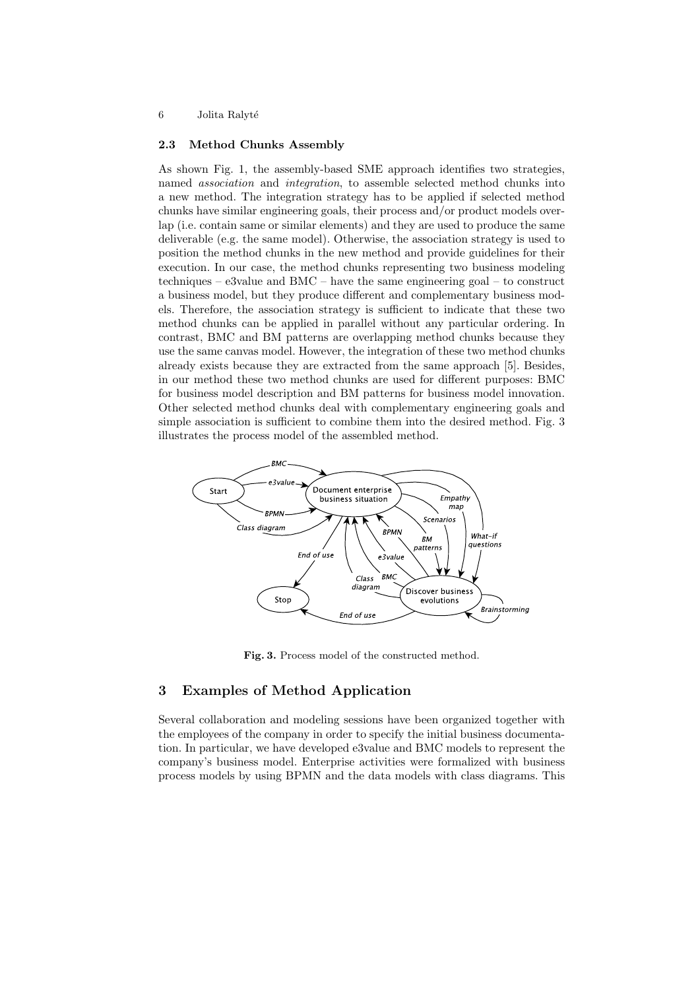#### 2.3 Method Chunks Assembly

As shown Fig. 1, the assembly-based SME approach identifies two strategies, named association and integration, to assemble selected method chunks into a new method. The integration strategy has to be applied if selected method chunks have similar engineering goals, their process and/or product models overlap (i.e. contain same or similar elements) and they are used to produce the same deliverable (e.g. the same model). Otherwise, the association strategy is used to position the method chunks in the new method and provide guidelines for their execution. In our case, the method chunks representing two business modeling techniques – e3value and BMC – have the same engineering goal – to construct a business model, but they produce different and complementary business models. Therefore, the association strategy is sufficient to indicate that these two method chunks can be applied in parallel without any particular ordering. In contrast, BMC and BM patterns are overlapping method chunks because they use the same canvas model. However, the integration of these two method chunks already exists because they are extracted from the same approach [5]. Besides, in our method these two method chunks are used for different purposes: BMC for business model description and BM patterns for business model innovation. Other selected method chunks deal with complementary engineering goals and simple association is sufficient to combine them into the desired method. Fig. 3 illustrates the process model of the assembled method.



Fig. 3. Process model of the constructed method.

## 3 Examples of Method Application

Several collaboration and modeling sessions have been organized together with the employees of the company in order to specify the initial business documentation. In particular, we have developed e3value and BMC models to represent the company's business model. Enterprise activities were formalized with business process models by using BPMN and the data models with class diagrams. This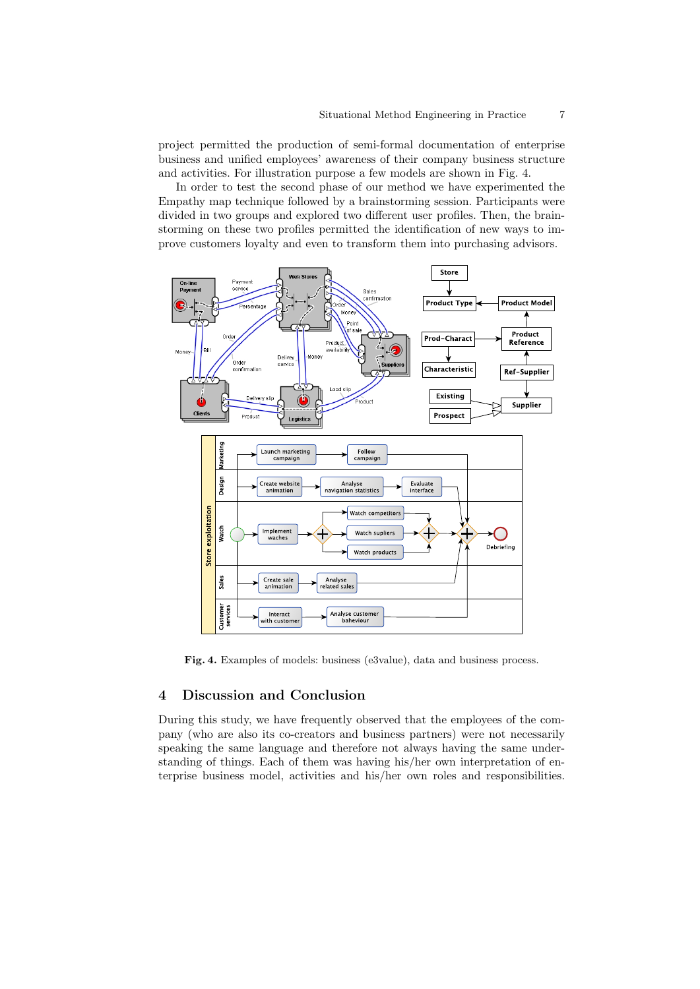project permitted the production of semi-formal documentation of enterprise business and unified employees' awareness of their company business structure and activities. For illustration purpose a few models are shown in Fig. 4.

In order to test the second phase of our method we have experimented the Empathy map technique followed by a brainstorming session. Participants were divided in two groups and explored two different user profiles. Then, the brainstorming on these two profiles permitted the identification of new ways to improve customers loyalty and even to transform them into purchasing advisors.



Fig. 4. Examples of models: business (e3value), data and business process.

## 4 Discussion and Conclusion

During this study, we have frequently observed that the employees of the company (who are also its co-creators and business partners) were not necessarily speaking the same language and therefore not always having the same understanding of things. Each of them was having his/her own interpretation of enterprise business model, activities and his/her own roles and responsibilities.